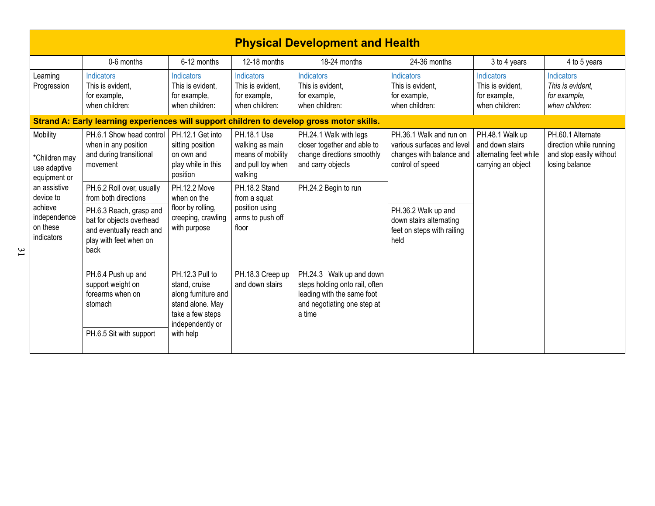| <b>Physical Development and Health</b>                                                                                                      |                                                                                                                   |                                                                                                                     |                                                                                     |                                                                                                                                   |                                                                                                       |                                                                                    |                                                                                           |  |  |
|---------------------------------------------------------------------------------------------------------------------------------------------|-------------------------------------------------------------------------------------------------------------------|---------------------------------------------------------------------------------------------------------------------|-------------------------------------------------------------------------------------|-----------------------------------------------------------------------------------------------------------------------------------|-------------------------------------------------------------------------------------------------------|------------------------------------------------------------------------------------|-------------------------------------------------------------------------------------------|--|--|
|                                                                                                                                             | 0-6 months                                                                                                        | 6-12 months                                                                                                         | 12-18 months                                                                        | 18-24 months                                                                                                                      | 24-36 months                                                                                          | 3 to 4 years                                                                       | 4 to 5 years                                                                              |  |  |
| Learning<br>Progression                                                                                                                     | Indicators<br>This is evident.<br>for example,<br>when children:                                                  | Indicators<br>This is evident.<br>for example,<br>when children:                                                    | Indicators<br>This is evident,<br>for example,<br>when children:                    | Indicators<br>This is evident.<br>for example,<br>when children:                                                                  | Indicators<br>This is evident.<br>for example,<br>when children:                                      | Indicators<br>This is evident.<br>for example,<br>when children:                   | Indicators<br>This is evident.<br>for example,<br>when children:                          |  |  |
|                                                                                                                                             |                                                                                                                   |                                                                                                                     |                                                                                     | Strand A: Early learning experiences will support children to develop gross motor skills.                                         |                                                                                                       |                                                                                    |                                                                                           |  |  |
| Mobility<br>*Children may<br>use adaptive<br>equipment or<br>an assistive<br>device to<br>achieve<br>independence<br>on these<br>indicators | PH.6.1 Show head control<br>when in any position<br>and during transitional<br>movement                           | PH.12.1 Get into<br>sitting position<br>on own and<br>play while in this<br>position                                | PH.18.1 Use<br>walking as main<br>means of mobility<br>and pull toy when<br>walking | PH.24.1 Walk with legs<br>closer together and able to<br>change directions smoothly<br>and carry objects                          | PH.36.1 Walk and run on<br>various surfaces and level<br>changes with balance and<br>control of speed | PH.48.1 Walk up<br>and down stairs<br>alternating feet while<br>carrying an object | PH.60.1 Alternate<br>direction while running<br>and stop easily without<br>losing balance |  |  |
|                                                                                                                                             | PH.6.2 Roll over, usually<br>from both directions                                                                 | PH.12.2 Move<br>when on the<br>floor by rolling,<br>creeping, crawling<br>with purpose                              | PH.18.2 Stand<br>from a squat<br>position using<br>arms to push off<br>floor        | PH.24.2 Begin to run                                                                                                              |                                                                                                       |                                                                                    |                                                                                           |  |  |
|                                                                                                                                             | PH.6.3 Reach, grasp and<br>bat for objects overhead<br>and eventually reach and<br>play with feet when on<br>back |                                                                                                                     |                                                                                     |                                                                                                                                   | PH.36.2 Walk up and<br>down stairs alternating<br>feet on steps with railing<br>held                  |                                                                                    |                                                                                           |  |  |
|                                                                                                                                             | PH.6.4 Push up and<br>support weight on<br>forearms when on<br>stomach                                            | PH.12.3 Pull to<br>stand, cruise<br>along furniture and<br>stand alone. May<br>take a few steps<br>independently or | PH.18.3 Creep up<br>and down stairs                                                 | PH.24.3 Walk up and down<br>steps holding onto rail, often<br>leading with the same foot<br>and negotiating one step at<br>a time |                                                                                                       |                                                                                    |                                                                                           |  |  |
|                                                                                                                                             | PH.6.5 Sit with support                                                                                           | with help                                                                                                           |                                                                                     |                                                                                                                                   |                                                                                                       |                                                                                    |                                                                                           |  |  |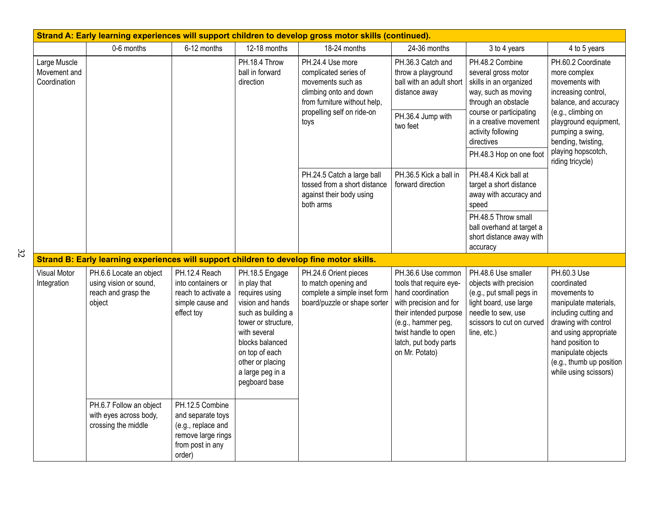| Strand A: Early learning experiences will support children to develop gross motor skills (continued). |                                                                                          |                                                                                                                |                                                                                                                                                                                                                                 |                                                                                                                                                                |                                                                                                                                                                                                                 |                                                                                                                                                                                                                                                                                                                                                                                                                      |                                                                                                                                                                                                                                              |  |
|-------------------------------------------------------------------------------------------------------|------------------------------------------------------------------------------------------|----------------------------------------------------------------------------------------------------------------|---------------------------------------------------------------------------------------------------------------------------------------------------------------------------------------------------------------------------------|----------------------------------------------------------------------------------------------------------------------------------------------------------------|-----------------------------------------------------------------------------------------------------------------------------------------------------------------------------------------------------------------|----------------------------------------------------------------------------------------------------------------------------------------------------------------------------------------------------------------------------------------------------------------------------------------------------------------------------------------------------------------------------------------------------------------------|----------------------------------------------------------------------------------------------------------------------------------------------------------------------------------------------------------------------------------------------|--|
|                                                                                                       | 0-6 months                                                                               | 6-12 months                                                                                                    | 12-18 months                                                                                                                                                                                                                    | 18-24 months                                                                                                                                                   | 24-36 months                                                                                                                                                                                                    | 3 to 4 years                                                                                                                                                                                                                                                                                                                                                                                                         | 4 to 5 years                                                                                                                                                                                                                                 |  |
| Large Muscle<br>Movement and<br>Coordination                                                          |                                                                                          |                                                                                                                | PH.18.4 Throw<br>ball in forward<br>direction                                                                                                                                                                                   | PH.24.4 Use more<br>complicated series of<br>movements such as<br>climbing onto and down<br>from furniture without help,<br>propelling self on ride-on<br>toys | PH.36.3 Catch and<br>throw a playground<br>ball with an adult short<br>distance away<br>PH.36.4 Jump with<br>two feet                                                                                           | PH.48.2 Combine<br>several gross motor<br>skills in an organized<br>way, such as moving<br>through an obstacle<br>course or participating<br>in a creative movement<br>activity following<br>directives<br>PH.48.3 Hop on one foot<br>PH.48.4 Kick ball at<br>target a short distance<br>away with accuracy and<br>speed<br>PH.48.5 Throw small<br>ball overhand at target a<br>short distance away with<br>accuracy | PH.60.2 Coordinate<br>more complex<br>movements with<br>increasing control,<br>balance, and accuracy<br>(e.g., climbing on<br>playground equipment,<br>pumping a swing,<br>bending, twisting,<br>playing hopscotch,<br>riding tricycle)      |  |
|                                                                                                       |                                                                                          |                                                                                                                |                                                                                                                                                                                                                                 | PH.24.5 Catch a large ball<br>tossed from a short distance<br>against their body using<br>both arms                                                            | PH.36.5 Kick a ball in<br>forward direction                                                                                                                                                                     |                                                                                                                                                                                                                                                                                                                                                                                                                      |                                                                                                                                                                                                                                              |  |
|                                                                                                       | Strand B: Early learning experiences will support children to develop fine motor skills. |                                                                                                                |                                                                                                                                                                                                                                 |                                                                                                                                                                |                                                                                                                                                                                                                 |                                                                                                                                                                                                                                                                                                                                                                                                                      |                                                                                                                                                                                                                                              |  |
| <b>Visual Motor</b><br>Integration                                                                    | PH.6.6 Locate an object<br>using vision or sound,<br>reach and grasp the<br>object       | PH.12.4 Reach<br>into containers or<br>reach to activate a<br>simple cause and<br>effect toy                   | PH.18.5 Engage<br>in play that<br>requires using<br>vision and hands<br>such as building a<br>tower or structure,<br>with several<br>blocks balanced<br>on top of each<br>other or placing<br>a large peg in a<br>pegboard base | PH.24.6 Orient pieces<br>to match opening and<br>complete a simple inset form<br>board/puzzle or shape sorter                                                  | PH.36.6 Use common<br>tools that require eye-<br>hand coordination<br>with precision and for<br>their intended purpose<br>(e.g., hammer peg,<br>twist handle to open<br>latch, put body parts<br>on Mr. Potato) | PH.48.6 Use smaller<br>objects with precision<br>(e.g., put small pegs in<br>light board, use large<br>needle to sew, use<br>scissors to cut on curved<br>line, etc.)                                                                                                                                                                                                                                                | PH.60.3 Use<br>coordinated<br>movements to<br>manipulate materials,<br>including cutting and<br>drawing with control<br>and using appropriate<br>hand position to<br>manipulate objects<br>(e.g., thumb up position<br>while using scissors) |  |
|                                                                                                       | PH.6.7 Follow an object<br>with eyes across body,<br>crossing the middle                 | PH.12.5 Combine<br>and separate toys<br>(e.g., replace and<br>remove large rings<br>from post in any<br>order) |                                                                                                                                                                                                                                 |                                                                                                                                                                |                                                                                                                                                                                                                 |                                                                                                                                                                                                                                                                                                                                                                                                                      |                                                                                                                                                                                                                                              |  |

32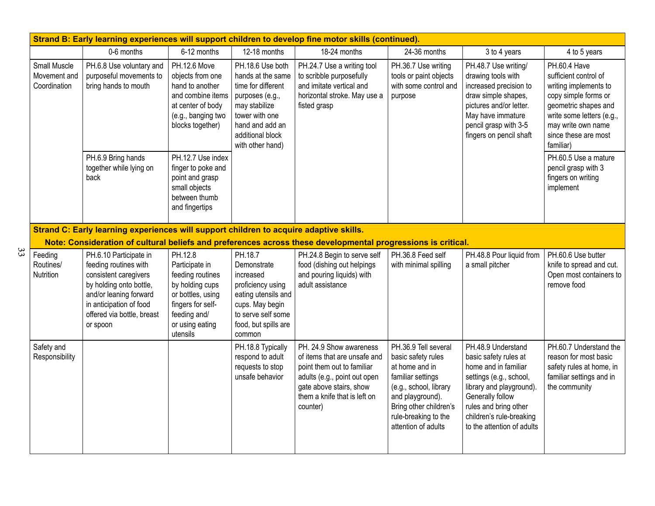|                                         | Strand B: Early learning experiences will support children to develop fine motor skills (continued). |                                                                                                                                                                                                    |                                                                                                                                                           |                                                                                                                                                                              |                                                                                                                                                                                              |                                                                                                                                                                                                          |                                                                                                                                                                                                                                   |                                                                                                                                                                                                        |  |
|-----------------------------------------|------------------------------------------------------------------------------------------------------|----------------------------------------------------------------------------------------------------------------------------------------------------------------------------------------------------|-----------------------------------------------------------------------------------------------------------------------------------------------------------|------------------------------------------------------------------------------------------------------------------------------------------------------------------------------|----------------------------------------------------------------------------------------------------------------------------------------------------------------------------------------------|----------------------------------------------------------------------------------------------------------------------------------------------------------------------------------------------------------|-----------------------------------------------------------------------------------------------------------------------------------------------------------------------------------------------------------------------------------|--------------------------------------------------------------------------------------------------------------------------------------------------------------------------------------------------------|--|
|                                         |                                                                                                      | 0-6 months                                                                                                                                                                                         | 6-12 months                                                                                                                                               | 12-18 months                                                                                                                                                                 | 18-24 months                                                                                                                                                                                 | 24-36 months                                                                                                                                                                                             | 3 to 4 years                                                                                                                                                                                                                      | 4 to 5 years                                                                                                                                                                                           |  |
|                                         | Small Muscle<br>Movement and<br>Coordination                                                         | PH.6.8 Use voluntary and<br>purposeful movements to<br>bring hands to mouth                                                                                                                        | PH.12.6 Move<br>objects from one<br>hand to another<br>and combine items<br>at center of body<br>(e.g., banging two<br>blocks together)                   | PH.18.6 Use both<br>hands at the same<br>time for different<br>purposes (e.g.,<br>may stabilize<br>tower with one<br>hand and add an<br>additional block<br>with other hand) | PH.24.7 Use a writing tool<br>to scribble purposefully<br>and imitate vertical and<br>horizontal stroke. May use a<br>fisted grasp                                                           | PH.36.7 Use writing<br>tools or paint objects<br>with some control and<br>purpose                                                                                                                        | PH.48.7 Use writing/<br>drawing tools with<br>increased precision to<br>draw simple shapes,<br>pictures and/or letter.<br>May have immature<br>pencil grasp with 3-5<br>fingers on pencil shaft                                   | PH.60.4 Have<br>sufficient control of<br>writing implements to<br>copy simple forms or<br>geometric shapes and<br>write some letters (e.g.,<br>may write own name<br>since these are most<br>familiar) |  |
|                                         |                                                                                                      | PH.6.9 Bring hands<br>together while lying on<br>back                                                                                                                                              | PH.12.7 Use index<br>finger to poke and<br>point and grasp<br>small objects<br>between thumb<br>and fingertips                                            |                                                                                                                                                                              |                                                                                                                                                                                              |                                                                                                                                                                                                          |                                                                                                                                                                                                                                   | PH.60.5 Use a mature<br>pencil grasp with 3<br>fingers on writing<br>implement                                                                                                                         |  |
|                                         |                                                                                                      | Strand C: Early learning experiences will support children to acquire adaptive skills.                                                                                                             |                                                                                                                                                           |                                                                                                                                                                              | Note: Consideration of cultural beliefs and preferences across these developmental progressions is critical.                                                                                 |                                                                                                                                                                                                          |                                                                                                                                                                                                                                   |                                                                                                                                                                                                        |  |
| 33<br>Feeding<br>Routines/<br>Nutrition |                                                                                                      | PH.6.10 Participate in<br>feeding routines with<br>consistent caregivers<br>by holding onto bottle,<br>and/or leaning forward<br>in anticipation of food<br>offered via bottle, breast<br>or spoon | PH.12.8<br>Participate in<br>feeding routines<br>by holding cups<br>or bottles, using<br>fingers for self-<br>feeding and/<br>or using eating<br>utensils | PH.18.7<br>Demonstrate<br>increased<br>proficiency using<br>eating utensils and<br>cups. May begin<br>to serve self some<br>food, but spills are<br>common                   | PH.24.8 Begin to serve self<br>food (dishing out helpings<br>and pouring liquids) with<br>adult assistance                                                                                   | PH.36.8 Feed self<br>with minimal spilling                                                                                                                                                               | PH.48.8 Pour liquid from<br>a small pitcher                                                                                                                                                                                       | PH.60.6 Use butter<br>knife to spread and cut.<br>Open most containers to<br>remove food                                                                                                               |  |
| Safety and                              | Responsibility                                                                                       |                                                                                                                                                                                                    |                                                                                                                                                           | PH.18.8 Typically<br>respond to adult<br>requests to stop<br>unsafe behavior                                                                                                 | PH. 24.9 Show awareness<br>of items that are unsafe and<br>point them out to familiar<br>adults (e.g., point out open<br>gate above stairs, show<br>them a knife that is left on<br>counter) | PH.36.9 Tell several<br>basic safety rules<br>at home and in<br>familiar settings<br>(e.g., school, library<br>and playground).<br>Bring other children's<br>rule-breaking to the<br>attention of adults | PH.48.9 Understand<br>basic safety rules at<br>home and in familiar<br>settings (e.g., school,<br>library and playground).<br>Generally follow<br>rules and bring other<br>children's rule-breaking<br>to the attention of adults | PH.60.7 Understand the<br>reason for most basic<br>safety rules at home, in<br>familiar settings and in<br>the community                                                                               |  |